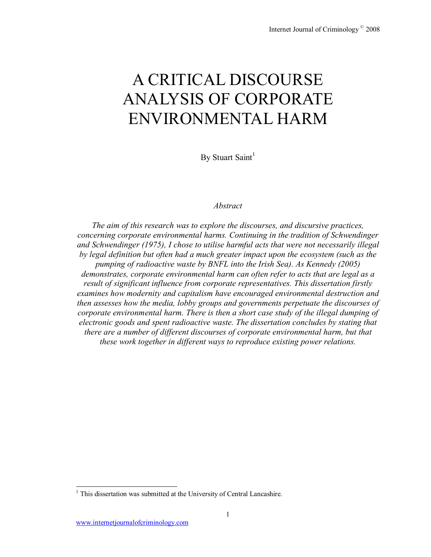# A CRITICAL DISCOURSE ANALYSIS OF CORPORATE ENVIRONMENTAL HARM

By Stuart Saint<sup>1</sup>

#### *Abstract*

*The aim of this research was to explore the discourses, and discursive practices, concerning corporate environmental harms. Continuing in the tradition of Schwendinger and Schwendinger (1975), I chose to utilise harmful acts that were not necessarily illegal by legal definition but often had a much greater impact upon the ecosystem (such as the pumping of radioactive waste by BNFL into the Irish Sea). As Kennedy (2005) demonstrates, corporate environmental harm can often refer to acts that are legal as a result of significant influence from corporate representatives. This dissertation firstly examines how modernity and capitalism have encouraged environmental destruction and then assesses how the media, lobby groups and governments perpetuate the discourses of corporate environmental harm. There is then a short case study of the illegal dumping of electronic goods and spent radioactive waste. The dissertation concludes by stating that there are a number of different discourses of corporate environmental harm, but that these work together in different ways to reproduce existing power relations.* 

 1 This dissertation was submitted at the University of Central Lancashire.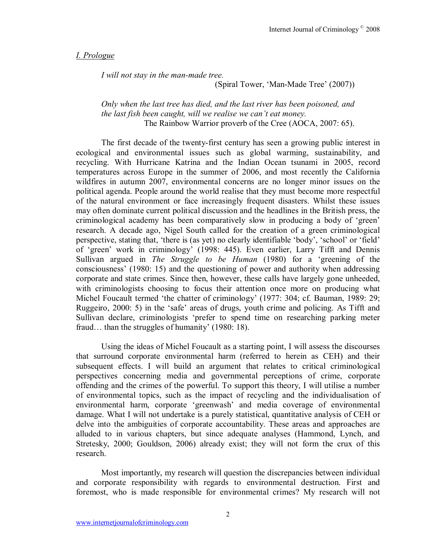# *I. Prologue*

*I will not stay in the man-made tree.* 

(Spiral Tower, 'Man-Made Tree' (2007))

# *Only when the last tree has died, and the last river has been poisoned, and the last fish been caught, will we realise we can't eat money.* The Rainbow Warrior proverb of the Cree (AOCA, 2007: 65).

 The first decade of the twenty-first century has seen a growing public interest in ecological and environmental issues such as global warming, sustainability, and recycling. With Hurricane Katrina and the Indian Ocean tsunami in 2005, record temperatures across Europe in the summer of 2006, and most recently the California wildfires in autumn 2007, environmental concerns are no longer minor issues on the political agenda. People around the world realise that they must become more respectful of the natural environment or face increasingly frequent disasters. Whilst these issues may often dominate current political discussion and the headlines in the British press, the criminological academy has been comparatively slow in producing a body of 'green' research. A decade ago, Nigel South called for the creation of a green criminological perspective, stating that, 'there is (as yet) no clearly identifiable 'body', 'school' or 'field' of 'green' work in criminology' (1998: 445). Even earlier, Larry Tifft and Dennis Sullivan argued in *The Struggle to be Human* (1980) for a 'greening of the consciousness' (1980: 15) and the questioning of power and authority when addressing corporate and state crimes. Since then, however, these calls have largely gone unheeded, with criminologists choosing to focus their attention once more on producing what Michel Foucault termed 'the chatter of criminology' (1977: 304; cf. Bauman, 1989: 29; Ruggeiro, 2000: 5) in the 'safe' areas of drugs, youth crime and policing. As Tifft and Sullivan declare, criminologists ëprefer to spend time on researching parking meter fraud $\ldots$  than the struggles of humanity' (1980: 18).

 Using the ideas of Michel Foucault as a starting point, I will assess the discourses that surround corporate environmental harm (referred to herein as CEH) and their subsequent effects. I will build an argument that relates to critical criminological perspectives concerning media and governmental perceptions of crime, corporate offending and the crimes of the powerful. To support this theory, I will utilise a number of environmental topics, such as the impact of recycling and the individualisation of environmental harm, corporate 'greenwash' and media coverage of environmental damage. What I will not undertake is a purely statistical, quantitative analysis of CEH or delve into the ambiguities of corporate accountability. These areas and approaches are alluded to in various chapters, but since adequate analyses (Hammond, Lynch, and Stretesky, 2000; Gouldson, 2006) already exist; they will not form the crux of this research.

 Most importantly, my research will question the discrepancies between individual and corporate responsibility with regards to environmental destruction. First and foremost, who is made responsible for environmental crimes? My research will not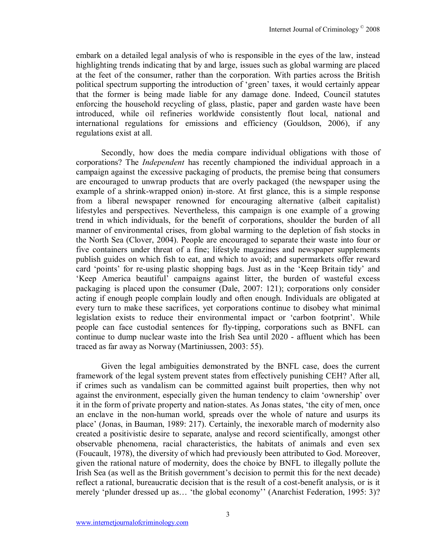embark on a detailed legal analysis of who is responsible in the eyes of the law, instead highlighting trends indicating that by and large, issues such as global warming are placed at the feet of the consumer, rather than the corporation. With parties across the British political spectrum supporting the introduction of 'green' taxes, it would certainly appear that the former is being made liable for any damage done. Indeed, Council statutes enforcing the household recycling of glass, plastic, paper and garden waste have been introduced, while oil refineries worldwide consistently flout local, national and international regulations for emissions and efficiency (Gouldson, 2006), if any regulations exist at all.

 Secondly, how does the media compare individual obligations with those of corporations? The *Independent* has recently championed the individual approach in a campaign against the excessive packaging of products, the premise being that consumers are encouraged to unwrap products that are overly packaged (the newspaper using the example of a shrink-wrapped onion) in-store. At first glance, this is a simple response from a liberal newspaper renowned for encouraging alternative (albeit capitalist) lifestyles and perspectives. Nevertheless, this campaign is one example of a growing trend in which individuals, for the benefit of corporations, shoulder the burden of all manner of environmental crises, from global warming to the depletion of fish stocks in the North Sea (Clover, 2004). People are encouraged to separate their waste into four or five containers under threat of a fine; lifestyle magazines and newspaper supplements publish guides on which fish to eat, and which to avoid; and supermarkets offer reward card 'points' for re-using plastic shopping bags. Just as in the 'Keep Britain tidy' and 'Keep America beautiful' campaigns against litter, the burden of wasteful excess packaging is placed upon the consumer (Dale, 2007: 121); corporations only consider acting if enough people complain loudly and often enough. Individuals are obligated at every turn to make these sacrifices, yet corporations continue to disobey what minimal legislation exists to reduce their environmental impact or 'carbon footprint'. While people can face custodial sentences for fly-tipping, corporations such as BNFL can continue to dump nuclear waste into the Irish Sea until 2020 - affluent which has been traced as far away as Norway (Martiniussen, 2003: 55).

 Given the legal ambiguities demonstrated by the BNFL case, does the current framework of the legal system prevent states from effectively punishing CEH? After all, if crimes such as vandalism can be committed against built properties, then why not against the environment, especially given the human tendency to claim 'ownership' over it in the form of private property and nation-states. As Jonas states, ëthe city of men, once an enclave in the non-human world, spreads over the whole of nature and usurps its place' (Jonas, in Bauman, 1989: 217). Certainly, the inexorable march of modernity also created a positivistic desire to separate, analyse and record scientifically, amongst other observable phenomena, racial characteristics, the habitats of animals and even sex (Foucault, 1978), the diversity of which had previously been attributed to God. Moreover, given the rational nature of modernity, does the choice by BNFL to illegally pollute the Irish Sea (as well as the British government's decision to permit this for the next decade) reflect a rational, bureaucratic decision that is the result of a cost-benefit analysis, or is it merely 'plunder dressed up as... 'the global economy'' (Anarchist Federation, 1995: 3)?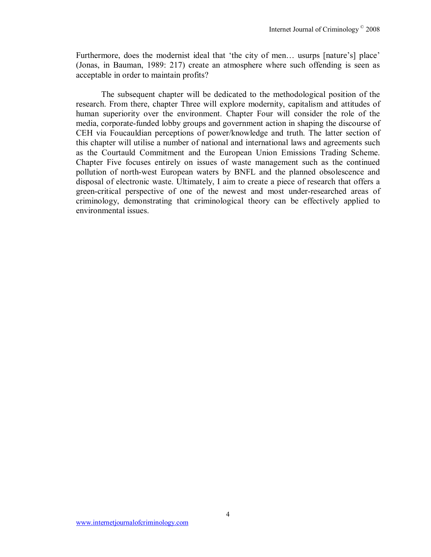Furthermore, does the modernist ideal that 'the city of men... usurps [nature's] place' (Jonas, in Bauman, 1989: 217) create an atmosphere where such offending is seen as acceptable in order to maintain profits?

 The subsequent chapter will be dedicated to the methodological position of the research. From there, chapter Three will explore modernity, capitalism and attitudes of human superiority over the environment. Chapter Four will consider the role of the media, corporate-funded lobby groups and government action in shaping the discourse of CEH via Foucauldian perceptions of power/knowledge and truth. The latter section of this chapter will utilise a number of national and international laws and agreements such as the Courtauld Commitment and the European Union Emissions Trading Scheme. Chapter Five focuses entirely on issues of waste management such as the continued pollution of north-west European waters by BNFL and the planned obsolescence and disposal of electronic waste. Ultimately, I aim to create a piece of research that offers a green-critical perspective of one of the newest and most under-researched areas of criminology, demonstrating that criminological theory can be effectively applied to environmental issues.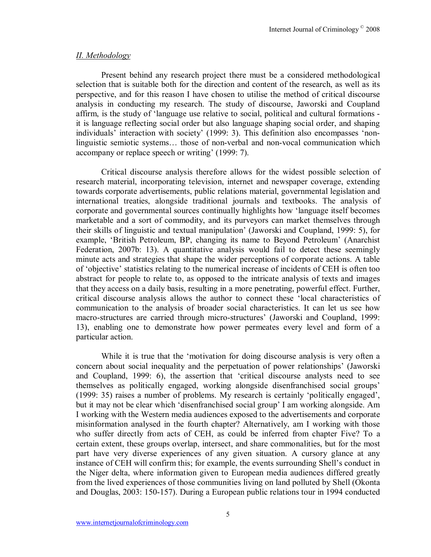# *II. Methodology*

 Present behind any research project there must be a considered methodological selection that is suitable both for the direction and content of the research, as well as its perspective, and for this reason I have chosen to utilise the method of critical discourse analysis in conducting my research. The study of discourse, Jaworski and Coupland affirm, is the study of 'language use relative to social, political and cultural formations it is language reflecting social order but also language shaping social order, and shaping individuals' interaction with society' (1999: 3). This definition also encompasses 'nonlinguistic semiotic systems... those of non-verbal and non-vocal communication which accompany or replace speech or writing' (1999: 7).

 Critical discourse analysis therefore allows for the widest possible selection of research material, incorporating television, internet and newspaper coverage, extending towards corporate advertisements, public relations material, governmental legislation and international treaties, alongside traditional journals and textbooks. The analysis of corporate and governmental sources continually highlights how 'language itself becomes marketable and a sort of commodity, and its purveyors can market themselves through their skills of linguistic and textual manipulation' (Jaworski and Coupland, 1999: 5), for example, 'British Petroleum, BP, changing its name to Beyond Petroleum' (Anarchist Federation, 2007b: 13). A quantitative analysis would fail to detect these seemingly minute acts and strategies that shape the wider perceptions of corporate actions. A table of 'objective' statistics relating to the numerical increase of incidents of CEH is often too abstract for people to relate to, as opposed to the intricate analysis of texts and images that they access on a daily basis, resulting in a more penetrating, powerful effect. Further, critical discourse analysis allows the author to connect these ëlocal characteristics of communication to the analysis of broader social characteristics. It can let us see how macro-structures are carried through micro-structures' (Jaworski and Coupland, 1999: 13), enabling one to demonstrate how power permeates every level and form of a particular action.

While it is true that the 'motivation for doing discourse analysis is very often a concern about social inequality and the perpetuation of power relationships<sup>'</sup> (Jaworski) and Coupland, 1999: 6), the assertion that ëcritical discourse analysts need to see themselves as politically engaged, working alongside disenfranchised social groups' (1999: 35) raises a number of problems. My research is certainly 'politically engaged', but it may not be clear which 'disenfranchised social group' I am working alongside. Am I working with the Western media audiences exposed to the advertisements and corporate misinformation analysed in the fourth chapter? Alternatively, am I working with those who suffer directly from acts of CEH, as could be inferred from chapter Five? To a certain extent, these groups overlap, intersect, and share commonalities, but for the most part have very diverse experiences of any given situation. A cursory glance at any instance of CEH will confirm this; for example, the events surrounding Shell's conduct in the Niger delta, where information given to European media audiences differed greatly from the lived experiences of those communities living on land polluted by Shell (Okonta and Douglas, 2003: 150-157). During a European public relations tour in 1994 conducted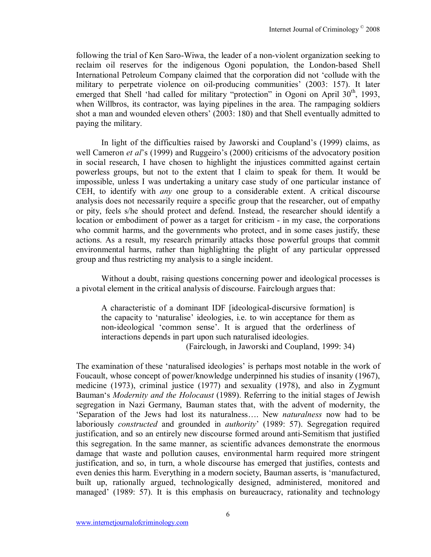following the trial of Ken Saro-Wiwa, the leader of a non-violent organization seeking to reclaim oil reserves for the indigenous Ogoni population, the London-based Shell International Petroleum Company claimed that the corporation did not ëcollude with the military to perpetrate violence on oil-producing communities' (2003: 157). It later emerged that Shell 'had called for military "protection" in Ogoni on April  $30<sup>th</sup>$ , 1993, when Willbros, its contractor, was laying pipelines in the area. The rampaging soldiers shot a man and wounded eleven others' (2003: 180) and that Shell eventually admitted to paying the military.

In light of the difficulties raised by Jaworski and Coupland's (1999) claims, as well Cameron *et al's* (1999) and Ruggeiro's (2000) criticisms of the advocatory position in social research, I have chosen to highlight the injustices committed against certain powerless groups, but not to the extent that I claim to speak for them. It would be impossible, unless I was undertaking a unitary case study of one particular instance of CEH, to identify with *any* one group to a considerable extent. A critical discourse analysis does not necessarily require a specific group that the researcher, out of empathy or pity, feels s/he should protect and defend. Instead, the researcher should identify a location or embodiment of power as a target for criticism - in my case, the corporations who commit harms, and the governments who protect, and in some cases justify, these actions. As a result, my research primarily attacks those powerful groups that commit environmental harms, rather than highlighting the plight of any particular oppressed group and thus restricting my analysis to a single incident.

 Without a doubt, raising questions concerning power and ideological processes is a pivotal element in the critical analysis of discourse. Fairclough argues that:

A characteristic of a dominant IDF [ideological-discursive formation] is the capacity to 'naturalise' ideologies, i.e. to win acceptance for them as non-ideological 'common sense'. It is argued that the orderliness of interactions depends in part upon such naturalised ideologies.

(Fairclough, in Jaworski and Coupland, 1999: 34)

The examination of these 'naturalised ideologies' is perhaps most notable in the work of Foucault, whose concept of power/knowledge underpinned his studies of insanity (1967), medicine (1973), criminal justice (1977) and sexuality (1978), and also in Zygmunt Baumanës *Modernity and the Holocaust* (1989). Referring to the initial stages of Jewish segregation in Nazi Germany, Bauman states that, with the advent of modernity, the Separation of the Jews had lost its naturalness.... New *naturalness* now had to be laboriously *constructed* and grounded in *authority*<sup>'</sup> (1989: 57). Segregation required justification, and so an entirely new discourse formed around anti-Semitism that justified this segregation. In the same manner, as scientific advances demonstrate the enormous damage that waste and pollution causes, environmental harm required more stringent justification, and so, in turn, a whole discourse has emerged that justifies, contests and even denies this harm. Everything in a modern society, Bauman asserts, is 'manufactured, built up, rationally argued, technologically designed, administered, monitored and managed<sup>3</sup> (1989: 57). It is this emphasis on bureaucracy, rationality and technology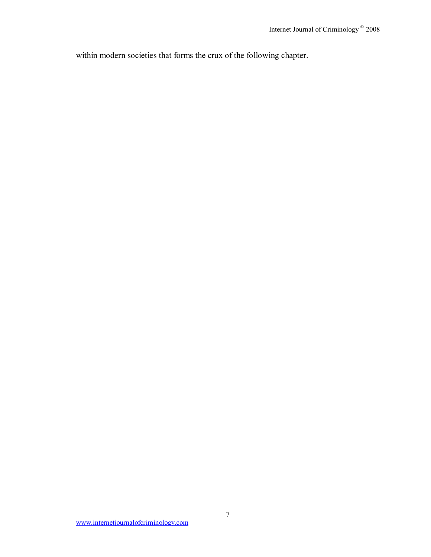within modern societies that forms the crux of the following chapter.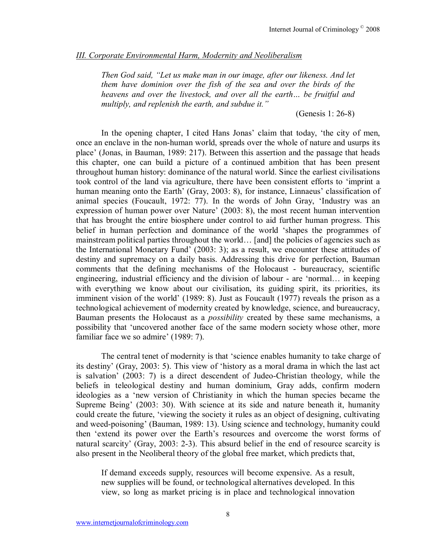#### *III. Corporate Environmental Harm, Modernity and Neoliberalism*

*Then God said, "Let us make man in our image, after our likeness. And let them have dominion over the fish of the sea and over the birds of the heavens and over the livestock, and over all the earth... be fruitful and multiply, and replenish the earth, and subdue it.*"

#### (Genesis 1: 26-8)

In the opening chapter, I cited Hans Jonas' claim that today, 'the city of men, once an enclave in the non-human world, spreads over the whole of nature and usurps its place' (Jonas, in Bauman, 1989: 217). Between this assertion and the passage that heads this chapter, one can build a picture of a continued ambition that has been present throughout human history: dominance of the natural world. Since the earliest civilisations took control of the land via agriculture, there have been consistent efforts to 'imprint a human meaning onto the Earth' (Gray, 2003: 8), for instance, Linnaeus' classification of animal species (Foucault, 1972: 77). In the words of John Gray, 'Industry was an expression of human power over Nature'  $(2003: 8)$ , the most recent human intervention that has brought the entire biosphere under control to aid further human progress. This belief in human perfection and dominance of the world 'shapes the programmes of mainstream political parties throughout the world... [and] the policies of agencies such as the International Monetary Fund' (2003: 3); as a result, we encounter these attitudes of destiny and supremacy on a daily basis. Addressing this drive for perfection, Bauman comments that the defining mechanisms of the Holocaust - bureaucracy, scientific engineering, industrial efficiency and the division of labour - are 'normal... in keeping with everything we know about our civilisation, its guiding spirit, its priorities, its imminent vision of the world'  $(1989: 8)$ . Just as Foucault  $(1977)$  reveals the prison as a technological achievement of modernity created by knowledge, science, and bureaucracy, Bauman presents the Holocaust as a *possibility* created by these same mechanisms, a possibility that ëuncovered another face of the same modern society whose other, more familiar face we so admire' (1989: 7).

The central tenet of modernity is that 'science enables humanity to take charge of its destinyí (Gray, 2003: 5). This view of ëhistory as a moral drama in which the last act is salvation'  $(2003: 7)$  is a direct descendent of Judeo-Christian theology, while the beliefs in teleological destiny and human dominium, Gray adds, confirm modern ideologies as a ënew version of Christianity in which the human species became the Supreme Being' (2003: 30). With science at its side and nature beneath it, humanity could create the future, ëviewing the society it rules as an object of designing, cultivating and weed-poisoning' (Bauman, 1989: 13). Using science and technology, humanity could then 'extend its power over the Earth's resources and overcome the worst forms of natural scarcity' (Gray, 2003: 2-3). This absurd belief in the end of resource scarcity is also present in the Neoliberal theory of the global free market, which predicts that,

If demand exceeds supply, resources will become expensive. As a result, new supplies will be found, or technological alternatives developed. In this view, so long as market pricing is in place and technological innovation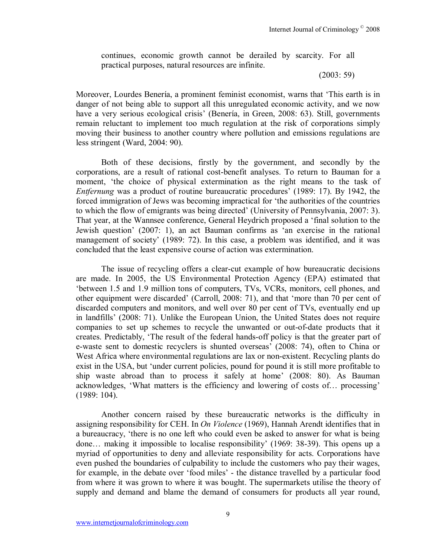continues, economic growth cannot be derailed by scarcity. For all practical purposes, natural resources are infinite.

(2003: 59)

Moreover, Lourdes Benería, a prominent feminist economist, warns that 'This earth is in danger of not being able to support all this unregulated economic activity, and we now have a very serious ecological crisis' (Benería, in Green, 2008: 63). Still, governments remain reluctant to implement too much regulation at the risk of corporations simply moving their business to another country where pollution and emissions regulations are less stringent (Ward, 2004: 90).

 Both of these decisions, firstly by the government, and secondly by the corporations, are a result of rational cost-benefit analyses. To return to Bauman for a moment, ëthe choice of physical extermination as the right means to the task of *Entfernung* was a product of routine bureaucratic procedures' (1989: 17). By 1942, the forced immigration of Jews was becoming impractical for 'the authorities of the countries to which the flow of emigrants was being directed' (University of Pennsylvania, 2007: 3). That year, at the Wannsee conference, General Heydrich proposed a 'final solution to the Jewish question<sup>'</sup> (2007: 1), an act Bauman confirms as 'an exercise in the rational management of society' (1989: 72). In this case, a problem was identified, and it was concluded that the least expensive course of action was extermination.

 The issue of recycling offers a clear-cut example of how bureaucratic decisions are made. In 2005, the US Environmental Protection Agency (EPA) estimated that ëbetween 1.5 and 1.9 million tons of computers, TVs, VCRs, monitors, cell phones, and other equipment were discarded' (Carroll, 2008: 71), and that 'more than 70 per cent of discarded computers and monitors, and well over 80 per cent of TVs, eventually end up in landfills' (2008: 71). Unlike the European Union, the United States does not require companies to set up schemes to recycle the unwanted or out-of-date products that it creates. Predictably, ëThe result of the federal hands-off policy is that the greater part of e-waste sent to domestic recyclers is shunted overseas' (2008: 74), often to China or West Africa where environmental regulations are lax or non-existent. Recycling plants do exist in the USA, but 'under current policies, pound for pound it is still more profitable to ship waste abroad than to process it safely at home' (2008: 80). As Bauman acknowledges, 'What matters is the efficiency and lowering of costs of... processing' (1989: 104).

 Another concern raised by these bureaucratic networks is the difficulty in assigning responsibility for CEH. In *On Violence* (1969), Hannah Arendt identifies that in a bureaucracy, ëthere is no one left who could even be asked to answer for what is being done... making it impossible to localise responsibility' (1969:  $38-39$ ). This opens up a myriad of opportunities to deny and alleviate responsibility for acts. Corporations have even pushed the boundaries of culpability to include the customers who pay their wages, for example, in the debate over 'food miles' - the distance travelled by a particular food from where it was grown to where it was bought. The supermarkets utilise the theory of supply and demand and blame the demand of consumers for products all year round,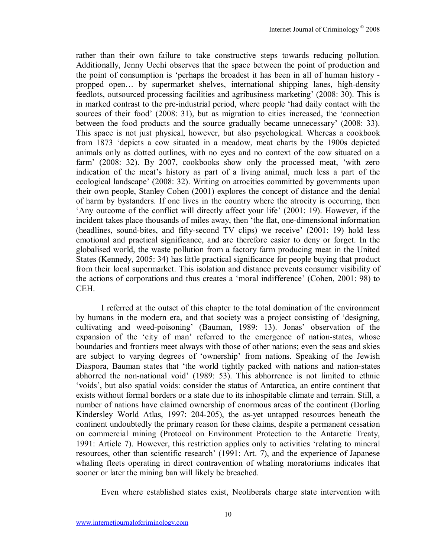rather than their own failure to take constructive steps towards reducing pollution. Additionally, Jenny Uechi observes that the space between the point of production and the point of consumption is ëperhaps the broadest it has been in all of human history propped open... by supermarket shelves, international shipping lanes, high-density feedlots, outsourced processing facilities and agribusiness marketing' (2008: 30). This is in marked contrast to the pre-industrial period, where people ëhad daily contact with the sources of their food' (2008: 31), but as migration to cities increased, the 'connection between the food products and the source gradually became unnecessary' (2008: 33). This space is not just physical, however, but also psychological. Whereas a cookbook from 1873 ëdepicts a cow situated in a meadow, meat charts by the 1900s depicted animals only as dotted outlines, with no eyes and no context of the cow situated on a farm<sup>3</sup> (2008: 32). By 2007, cookbooks show only the processed meat, 'with zero indication of the meat's history as part of a living animal, much less a part of the ecological landscape' (2008: 32). Writing on atrocities committed by governments upon their own people, Stanley Cohen (2001) explores the concept of distance and the denial of harm by bystanders. If one lives in the country where the atrocity is occurring, then 'Any outcome of the conflict will directly affect your life' (2001: 19). However, if the incident takes place thousands of miles away, then 'the flat, one-dimensional information (headlines, sound-bites, and fifty-second TV clips) we receive' (2001: 19) hold less emotional and practical significance, and are therefore easier to deny or forget. In the globalised world, the waste pollution from a factory farm producing meat in the United States (Kennedy, 2005: 34) has little practical significance for people buying that product from their local supermarket. This isolation and distance prevents consumer visibility of the actions of corporations and thus creates a 'moral indifference' (Cohen, 2001: 98) to CEH.

 I referred at the outset of this chapter to the total domination of the environment by humans in the modern era, and that society was a project consisting of ëdesigning, cultivating and weed-poisoning' (Bauman, 1989: 13). Jonas' observation of the expansion of the 'city of man' referred to the emergence of nation-states, whose boundaries and frontiers meet always with those of other nations; even the seas and skies are subject to varying degrees of 'ownership' from nations. Speaking of the Jewish Diaspora, Bauman states that 'the world tightly packed with nations and nation-states abhorred the non-national void'  $(1989: 53)$ . This abhorrence is not limited to ethnic ëvoidsí, but also spatial voids: consider the status of Antarctica, an entire continent that exists without formal borders or a state due to its inhospitable climate and terrain. Still, a number of nations have claimed ownership of enormous areas of the continent (Dorling Kindersley World Atlas, 1997: 204-205), the as-yet untapped resources beneath the continent undoubtedly the primary reason for these claims, despite a permanent cessation on commercial mining (Protocol on Environment Protection to the Antarctic Treaty, 1991: Article 7). However, this restriction applies only to activities ërelating to mineral resources, other than scientific research' (1991: Art. 7), and the experience of Japanese whaling fleets operating in direct contravention of whaling moratoriums indicates that sooner or later the mining ban will likely be breached.

Even where established states exist, Neoliberals charge state intervention with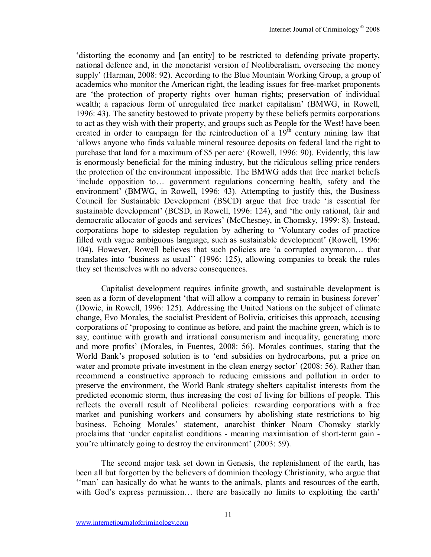ëdistorting the economy and [an entity] to be restricted to defending private property, national defence and, in the monetarist version of Neoliberalism, overseeing the money supplyí (Harman, 2008: 92). According to the Blue Mountain Working Group, a group of academics who monitor the American right, the leading issues for free-market proponents are ëthe protection of property rights over human rights; preservation of individual wealth; a rapacious form of unregulated free market capitalism' (BMWG, in Rowell, 1996: 43). The sanctity bestowed to private property by these beliefs permits corporations to act as they wish with their property, and groups such as People for the West! have been created in order to campaign for the reintroduction of a  $19<sup>th</sup>$  century mining law that ëallows anyone who finds valuable mineral resource deposits on federal land the right to purchase that land for a maximum of \$5 per acre<sup>c</sup> (Rowell, 1996: 90). Evidently, this law is enormously beneficial for the mining industry, but the ridiculous selling price renders the protection of the environment impossible. The BMWG adds that free market beliefs include opposition to... government regulations concerning health, safety and the environment' (BMWG, in Rowell, 1996: 43). Attempting to justify this, the Business Council for Sustainable Development (BSCD) argue that free trade ëis essential for sustainable development' (BCSD, in Rowell, 1996: 124), and 'the only rational, fair and democratic allocator of goods and services' (McChesney, in Chomsky, 1999: 8). Instead, corporations hope to sidestep regulation by adhering to 'Voluntary codes of practice filled with vague ambiguous language, such as sustainable development' (Rowell, 1996: 104). However, Rowell believes that such policies are 'a corrupted oxymoron... that translates into 'business as usual' (1996: 125), allowing companies to break the rules they set themselves with no adverse consequences.

 Capitalist development requires infinite growth, and sustainable development is seen as a form of development 'that will allow a company to remain in business forever' (Dowie, in Rowell, 1996: 125). Addressing the United Nations on the subject of climate change, Evo Morales, the socialist President of Bolivia, criticises this approach, accusing corporations of ëproposing to continue as before, and paint the machine green, which is to say, continue with growth and irrational consumerism and inequality, generating more and more profits' (Morales, in Fuentes, 2008: 56). Morales continues, stating that the World Bank's proposed solution is to 'end subsidies on hydrocarbons, put a price on water and promote private investment in the clean energy sector $(2008: 56)$ . Rather than recommend a constructive approach to reducing emissions and pollution in order to preserve the environment, the World Bank strategy shelters capitalist interests from the predicted economic storm, thus increasing the cost of living for billions of people. This reflects the overall result of Neoliberal policies: rewarding corporations with a free market and punishing workers and consumers by abolishing state restrictions to big business. Echoing Morales' statement, anarchist thinker Noam Chomsky starkly proclaims that ëunder capitalist conditions - meaning maximisation of short-term gain you're ultimately going to destroy the environment' (2003: 59).

 The second major task set down in Genesis, the replenishment of the earth, has been all but forgotten by the believers of dominion theology Christianity, who argue that ëëmaní can basically do what he wants to the animals, plants and resources of the earth, with God's express permission... there are basically no limits to exploiting the earth<sup>1</sup>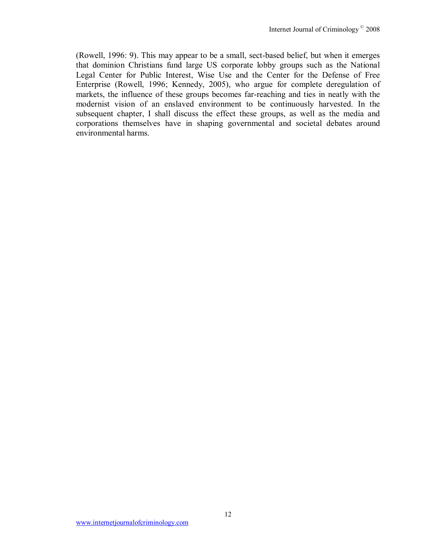(Rowell, 1996: 9). This may appear to be a small, sect-based belief, but when it emerges that dominion Christians fund large US corporate lobby groups such as the National Legal Center for Public Interest, Wise Use and the Center for the Defense of Free Enterprise (Rowell, 1996; Kennedy, 2005), who argue for complete deregulation of markets, the influence of these groups becomes far-reaching and ties in neatly with the modernist vision of an enslaved environment to be continuously harvested. In the subsequent chapter, I shall discuss the effect these groups, as well as the media and corporations themselves have in shaping governmental and societal debates around environmental harms.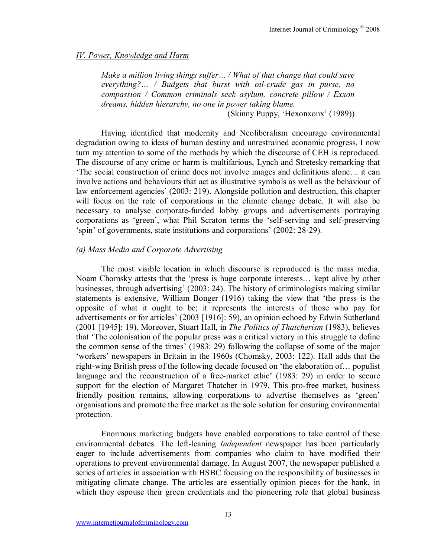## *IV. Power, Knowledge and Harm*

*Make a million living things suffer... / What of that change that could save* everything?... / Budgets that burst with oil-crude gas in purse, no *compassion / Common criminals seek asylum, concrete pillow / Exxon dreams, hidden hierarchy, no one in power taking blame.* 

(Skinny Puppy, 'Hexonxonx'  $(1989)$ )

 Having identified that modernity and Neoliberalism encourage environmental degradation owing to ideas of human destiny and unrestrained economic progress, I now turn my attention to some of the methods by which the discourse of CEH is reproduced. The discourse of any crime or harm is multifarious, Lynch and Stretesky remarking that The social construction of crime does not involve images and definitions alone... it can involve actions and behaviours that act as illustrative symbols as well as the behaviour of law enforcement agencies' (2003: 219). Alongside pollution and destruction, this chapter will focus on the role of corporations in the climate change debate. It will also be necessary to analyse corporate-funded lobby groups and advertisements portraying corporations as 'green', what Phil Scraton terms the 'self-serving and self-preserving spin' of governments, state institutions and corporations' (2002: 28-29).

#### *(a) Mass Media and Corporate Advertising*

 The most visible location in which discourse is reproduced is the mass media. Noam Chomsky attests that the 'press is huge corporate interests... kept alive by other businesses, through advertising  $(2003: 24)$ . The history of criminologists making similar statements is extensive, William Bonger (1916) taking the view that 'the press is the opposite of what it ought to be; it represents the interests of those who pay for advertisements or for articles' (2003 [1916]: 59), an opinion echoed by Edwin Sutherland (2001 [1945]: 19). Moreover, Stuart Hall, in *The Politics of Thatcherism* (1983), believes that ëThe colonisation of the popular press was a critical victory in this struggle to define the common sense of the times' (1983: 29) following the collapse of some of the major 'workers' newspapers in Britain in the 1960s (Chomsky, 2003: 122). Hall adds that the right-wing British press of the following decade focused on 'the elaboration of... populist language and the reconstruction of a free-market ethic' (1983: 29) in order to secure support for the election of Margaret Thatcher in 1979. This pro-free market, business friendly position remains, allowing corporations to advertise themselves as 'green' organisations and promote the free market as the sole solution for ensuring environmental protection.

 Enormous marketing budgets have enabled corporations to take control of these environmental debates. The left-leaning *Independent* newspaper has been particularly eager to include advertisements from companies who claim to have modified their operations to prevent environmental damage. In August 2007, the newspaper published a series of articles in association with HSBC focusing on the responsibility of businesses in mitigating climate change. The articles are essentially opinion pieces for the bank, in which they espouse their green credentials and the pioneering role that global business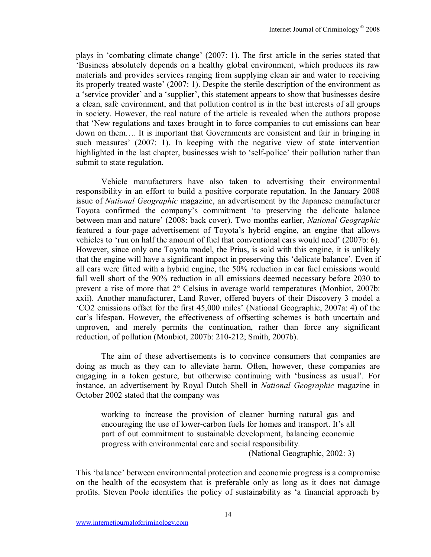plays in 'combating climate change'  $(2007: 1)$ . The first article in the series stated that ëBusiness absolutely depends on a healthy global environment, which produces its raw materials and provides services ranging from supplying clean air and water to receiving its properly treated waste<sup> $\degree$ </sup> (2007: 1). Despite the sterile description of the environment as a 'service provider' and a 'supplier', this statement appears to show that businesses desire a clean, safe environment, and that pollution control is in the best interests of all groups in society. However, the real nature of the article is revealed when the authors propose that ëNew regulations and taxes brought in to force companies to cut emissions can bear down on them.... It is important that Governments are consistent and fair in bringing in such measures'  $(2007: 1)$ . In keeping with the negative view of state intervention highlighted in the last chapter, businesses wish to 'self-police' their pollution rather than submit to state regulation.

 Vehicle manufacturers have also taken to advertising their environmental responsibility in an effort to build a positive corporate reputation. In the January 2008 issue of *National Geographic* magazine, an advertisement by the Japanese manufacturer Toyota confirmed the company's commitment 'to preserving the delicate balance between man and nature<sup>'</sup> (2008: back cover). Two months earlier, *National Geographic* featured a four-page advertisement of Toyota's hybrid engine, an engine that allows vehicles to 'run on half the amount of fuel that conventional cars would need' (2007b: 6). However, since only one Toyota model, the Prius, is sold with this engine, it is unlikely that the engine will have a significant impact in preserving this 'delicate balance'. Even if all cars were fitted with a hybrid engine, the 50% reduction in car fuel emissions would fall well short of the 90% reduction in all emissions deemed necessary before 2030 to prevent a rise of more that 2° Celsius in average world temperatures (Monbiot, 2007b: xxii). Another manufacturer, Land Rover, offered buyers of their Discovery 3 model a ëCO2 emissions offset for the first 45,000 milesí (National Geographic, 2007a: 4) of the car's lifespan. However, the effectiveness of offsetting schemes is both uncertain and unproven, and merely permits the continuation, rather than force any significant reduction, of pollution (Monbiot, 2007b: 210-212; Smith, 2007b).

 The aim of these advertisements is to convince consumers that companies are doing as much as they can to alleviate harm. Often, however, these companies are engaging in a token gesture, but otherwise continuing with 'business as usual'. For instance, an advertisement by Royal Dutch Shell in *National Geographic* magazine in October 2002 stated that the company was

working to increase the provision of cleaner burning natural gas and encouraging the use of lower-carbon fuels for homes and transport. It's all part of out commitment to sustainable development, balancing economic progress with environmental care and social responsibility.

(National Geographic, 2002: 3)

This 'balance' between environmental protection and economic progress is a compromise on the health of the ecosystem that is preferable only as long as it does not damage profits. Steven Poole identifies the policy of sustainability as ëa financial approach by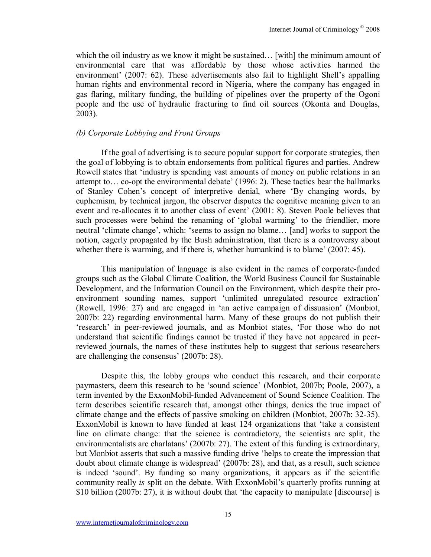which the oil industry as we know it might be sustained... [with] the minimum amount of environmental care that was affordable by those whose activities harmed the environment<sup> $(2007: 62)$ </sup>. These advertisements also fail to highlight Shell's appalling human rights and environmental record in Nigeria, where the company has engaged in gas flaring, military funding, the building of pipelines over the property of the Ogoni people and the use of hydraulic fracturing to find oil sources (Okonta and Douglas, 2003).

# *(b) Corporate Lobbying and Front Groups*

 If the goal of advertising is to secure popular support for corporate strategies, then the goal of lobbying is to obtain endorsements from political figures and parties. Andrew Rowell states that 'industry is spending vast amounts of money on public relations in an attempt to $\ldots$  co-opt the environmental debate' (1996: 2). These tactics bear the hallmarks of Stanley Cohenís concept of interpretive denial, where ëBy changing words, by euphemism, by technical jargon, the observer disputes the cognitive meaning given to an event and re-allocates it to another class of event' (2001: 8). Steven Poole believes that such processes were behind the renaming of 'global warming' to the friendlier, more neutral 'climate change', which: 'seems to assign no blame... [and] works to support the notion, eagerly propagated by the Bush administration, that there is a controversy about whether there is warming, and if there is, whether humankind is to blame $^{\prime}$  (2007: 45).

 This manipulation of language is also evident in the names of corporate-funded groups such as the Global Climate Coalition, the World Business Council for Sustainable Development, and the Information Council on the Environment, which despite their proenvironment sounding names, support 'unlimited unregulated resource extraction' (Rowell, 1996: 27) and are engaged in 'an active campaign of dissuasion' (Monbiot, 2007b: 22) regarding environmental harm. Many of these groups do not publish their 'research' in peer-reviewed journals, and as Monbiot states, 'For those who do not understand that scientific findings cannot be trusted if they have not appeared in peerreviewed journals, the names of these institutes help to suggest that serious researchers are challenging the consensus' (2007b: 28).

 Despite this, the lobby groups who conduct this research, and their corporate paymasters, deem this research to be 'sound science' (Monbiot, 2007b; Poole, 2007), a term invented by the ExxonMobil-funded Advancement of Sound Science Coalition. The term describes scientific research that, amongst other things, denies the true impact of climate change and the effects of passive smoking on children (Monbiot, 2007b: 32-35). ExxonMobil is known to have funded at least 124 organizations that 'take a consistent line on climate change: that the science is contradictory, the scientists are split, the environmentalists are charlatans'  $(2007b: 27)$ . The extent of this funding is extraordinary, but Monbiot asserts that such a massive funding drive ëhelps to create the impression that doubt about climate change is widespread' (2007b: 28), and that, as a result, such science is indeed 'sound'. By funding so many organizations, it appears as if the scientific community really *is* split on the debate. With ExxonMobil's quarterly profits running at \$10 billion (2007b: 27), it is without doubt that 'the capacity to manipulate [discourse] is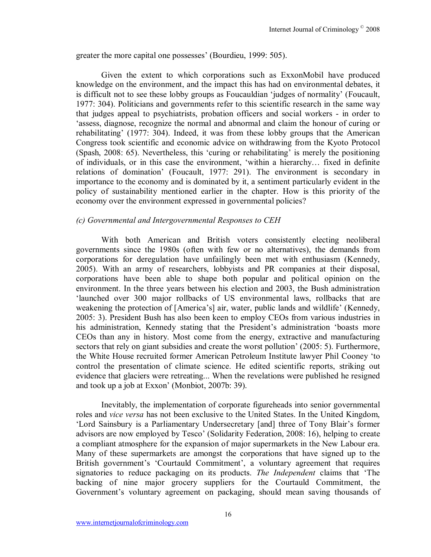greater the more capital one possesses' (Bourdieu, 1999: 505).

 Given the extent to which corporations such as ExxonMobil have produced knowledge on the environment, and the impact this has had on environmental debates, it is difficult not to see these lobby groups as Foucauldian 'judges of normality' (Foucault, 1977: 304). Politicians and governments refer to this scientific research in the same way that judges appeal to psychiatrists, probation officers and social workers - in order to ëassess, diagnose, recognize the normal and abnormal and claim the honour of curing or rehabilitating' (1977: 304). Indeed, it was from these lobby groups that the American Congress took scientific and economic advice on withdrawing from the Kyoto Protocol (Spash, 2008: 65). Nevertheless, this 'curing or rehabilitating' is merely the positioning of individuals, or in this case the environment, 'within a hierarchy... fixed in definite relations of domination' (Foucault, 1977: 291). The environment is secondary in importance to the economy and is dominated by it, a sentiment particularly evident in the policy of sustainability mentioned earlier in the chapter. How is this priority of the economy over the environment expressed in governmental policies?

#### *(c) Governmental and Intergovernmental Responses to CEH*

 With both American and British voters consistently electing neoliberal governments since the 1980s (often with few or no alternatives), the demands from corporations for deregulation have unfailingly been met with enthusiasm (Kennedy, 2005). With an army of researchers, lobbyists and PR companies at their disposal, corporations have been able to shape both popular and political opinion on the environment. In the three years between his election and 2003, the Bush administration ëlaunched over 300 major rollbacks of US environmental laws, rollbacks that are weakening the protection of [America's] air, water, public lands and wildlife' (Kennedy, 2005: 3). President Bush has also been keen to employ CEOs from various industries in his administration, Kennedy stating that the President's administration 'boasts more CEOs than any in history. Most come from the energy, extractive and manufacturing sectors that rely on giant subsidies and create the worst pollution $^{\prime}$  (2005: 5). Furthermore, the White House recruited former American Petroleum Institute lawyer Phil Cooney ëto control the presentation of climate science. He edited scientific reports, striking out evidence that glaciers were retreating... When the revelations were published he resigned and took up a job at Exxon' (Monbiot,  $2007b$ : 39).

 Inevitably, the implementation of corporate figureheads into senior governmental roles and *vice versa* has not been exclusive to the United States. In the United Kingdom, ëLord Sainsbury is a Parliamentary Undersecretary [and] three of Tony Blairís former advisors are now employed by Tesco' (Solidarity Federation, 2008: 16), helping to create a compliant atmosphere for the expansion of major supermarkets in the New Labour era. Many of these supermarkets are amongst the corporations that have signed up to the British government's 'Courtauld Commitment', a voluntary agreement that requires signatories to reduce packaging on its products. *The Independent* claims that 'The backing of nine major grocery suppliers for the Courtauld Commitment, the Government's voluntary agreement on packaging, should mean saving thousands of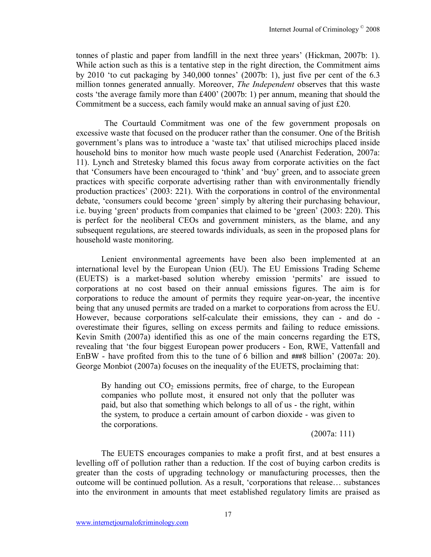tonnes of plastic and paper from landfill in the next three years' (Hickman, 2007b: 1). While action such as this is a tentative step in the right direction, the Commitment aims by 2010 'to cut packaging by  $340,000$  tonnes'  $(2007b: 1)$ , just five per cent of the 6.3 million tonnes generated annually. Moreover, *The Independent* observes that this waste costs 'the average family more than  $£400'$  (2007b: 1) per annum, meaning that should the Commitment be a success, each family would make an annual saving of just £20.

 The Courtauld Commitment was one of the few government proposals on excessive waste that focused on the producer rather than the consumer. One of the British government's plans was to introduce a 'waste tax' that utilised microchips placed inside household bins to monitor how much waste people used (Anarchist Federation, 2007a: 11). Lynch and Stretesky blamed this focus away from corporate activities on the fact that 'Consumers have been encouraged to 'think' and 'buy' green, and to associate green practices with specific corporate advertising rather than with environmentally friendly production practices' (2003: 221). With the corporations in control of the environmental debate, 'consumers could become 'green' simply by altering their purchasing behaviour, i.e. buying 'green' products from companies that claimed to be 'green' (2003: 220). This is perfect for the neoliberal CEOs and government ministers, as the blame, and any subsequent regulations, are steered towards individuals, as seen in the proposed plans for household waste monitoring.

 Lenient environmental agreements have been also been implemented at an international level by the European Union (EU). The EU Emissions Trading Scheme (EUETS) is a market-based solution whereby emission ëpermitsí are issued to corporations at no cost based on their annual emissions figures. The aim is for corporations to reduce the amount of permits they require year-on-year, the incentive being that any unused permits are traded on a market to corporations from across the EU. However, because corporations self-calculate their emissions, they can - and do overestimate their figures, selling on excess permits and failing to reduce emissions. Kevin Smith (2007a) identified this as one of the main concerns regarding the ETS, revealing that ëthe four biggest European power producers - Eon, RWE, Vattenfall and EnBW - have profited from this to the tune of 6 billion and  $\#H\#8$  billion' (2007a: 20). George Monbiot (2007a) focuses on the inequality of the EUETS, proclaiming that:

By handing out  $CO<sub>2</sub>$  emissions permits, free of charge, to the European companies who pollute most, it ensured not only that the polluter was paid, but also that something which belongs to all of us - the right, within the system, to produce a certain amount of carbon dioxide - was given to the corporations.

(2007a: 111)

 The EUETS encourages companies to make a profit first, and at best ensures a levelling off of pollution rather than a reduction. If the cost of buying carbon credits is greater than the costs of upgrading technology or manufacturing processes, then the outcome will be continued pollution. As a result, 'corporations that release... substances into the environment in amounts that meet established regulatory limits are praised as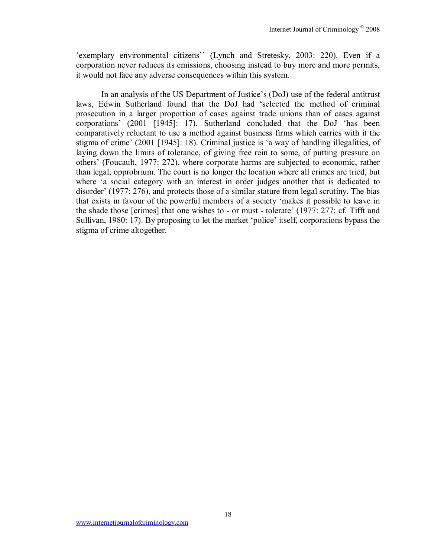'exemplary environmental citizens'' (Lynch and Stretesky, 2003: 220). Even if a corporation never reduces its emissions, choosing instead to buy more and more permits, it would not face any adverse consequences within this system.

In an analysis of the US Department of Justice's (DoJ) use of the federal antitrust laws, Edwin Sutherland found that the DoJ had 'selected the method of criminal prosecution in a larger proportion of cases against trade unions than of cases against corporationsí (2001 [1945]: 17). Sutherland concluded that the DoJ ëhas been comparatively reluctant to use a method against business firms which carries with it the stigma of crime<sup>,</sup> (2001 [1945]: 18). Criminal justice is 'a way of handling illegalities, of laying down the limits of tolerance, of giving free rein to some, of putting pressure on others' (Foucault, 1977: 272), where corporate harms are subjected to economic, rather than legal, opprobrium. The court is no longer the location where all crimes are tried, but where ëa social category with an interest in order judges another that is dedicated to disorder' (1977: 276), and protects those of a similar stature from legal scrutiny. The bias that exists in favour of the powerful members of a society ëmakes it possible to leave in the shade those [crimes] that one wishes to - or must - tolerate'  $(1977: 277; cf. Tiff and)$ Sullivan, 1980: 17). By proposing to let the market 'police' itself, corporations bypass the stigma of crime altogether.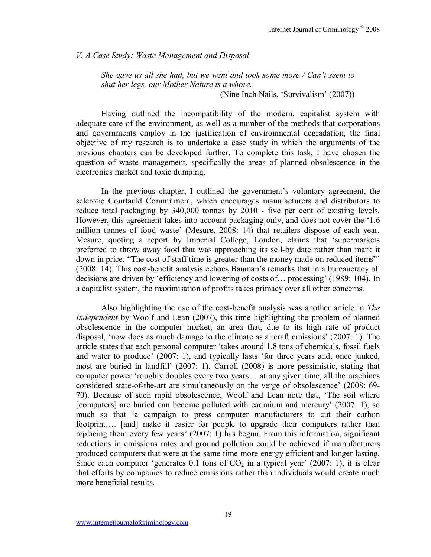#### *V. A Case Study: Waste Management and Disposal*

*She gave us all she had, but we went and took some more / Can't seem to shut her legs, our Mother Nature is a whore.* 

(Nine Inch Nails, 'Survivalism' (2007))

 Having outlined the incompatibility of the modern, capitalist system with adequate care of the environment, as well as a number of the methods that corporations and governments employ in the justification of environmental degradation, the final objective of my research is to undertake a case study in which the arguments of the previous chapters can be developed further. To complete this task, I have chosen the question of waste management, specifically the areas of planned obsolescence in the electronics market and toxic dumping.

In the previous chapter, I outlined the government's voluntary agreement, the sclerotic Courtauld Commitment, which encourages manufacturers and distributors to reduce total packaging by 340,000 tonnes by 2010 - five per cent of existing levels. However, this agreement takes into account packaging only, and does not cover the '1.6 million tonnes of food waste' (Mesure, 2008: 14) that retailers dispose of each year. Mesure, quoting a report by Imperial College, London, claims that 'supermarkets preferred to throw away food that was approaching its sell-by date rather than mark it down in price. "The cost of staff time is greater than the money made on reduced items" (2008: 14). This cost-benefit analysis echoes Bauman's remarks that in a bureaucracy all decisions are driven by 'efficiency and lowering of costs of... processing' (1989: 104). In a capitalist system, the maximisation of profits takes primacy over all other concerns.

 Also highlighting the use of the cost-benefit analysis was another article in *The Independent* by Woolf and Lean (2007), this time highlighting the problem of planned obsolescence in the computer market, an area that, due to its high rate of product disposal, 'now does as much damage to the climate as aircraft emissions'  $(2007: 1)$ . The article states that each personal computer ëtakes around 1.8 tons of chemicals, fossil fuels and water to produce' (2007: 1), and typically lasts 'for three years and, once junked, most are buried in landfill' (2007: 1). Carroll (2008) is more pessimistic, stating that computer power 'roughly doubles every two years... at any given time, all the machines considered state-of-the-art are simultaneously on the verge of obsolescence'  $(2008: 69-$ 70). Because of such rapid obsolescence, Woolf and Lean note that, ëThe soil where [computers] are buried can become polluted with cadmium and mercury' (2007: 1), so much so that ëa campaign to press computer manufacturers to cut their carbon footprint.... [and] make it easier for people to upgrade their computers rather than replacing them every few years'  $(2007: 1)$  has begun. From this information, significant reductions in emissions rates and ground pollution could be achieved if manufacturers produced computers that were at the same time more energy efficient and longer lasting. Since each computer 'generates  $0.1$  tons of  $CO<sub>2</sub>$  in a typical year' (2007: 1), it is clear that efforts by companies to reduce emissions rather than individuals would create much more beneficial results.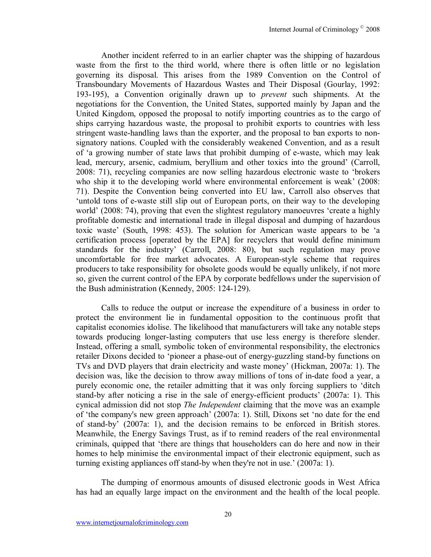Another incident referred to in an earlier chapter was the shipping of hazardous waste from the first to the third world, where there is often little or no legislation governing its disposal. This arises from the 1989 Convention on the Control of Transboundary Movements of Hazardous Wastes and Their Disposal (Gourlay, 1992: 193-195), a Convention originally drawn up to *prevent* such shipments. At the negotiations for the Convention, the United States, supported mainly by Japan and the United Kingdom, opposed the proposal to notify importing countries as to the cargo of ships carrying hazardous waste, the proposal to prohibit exports to countries with less stringent waste-handling laws than the exporter, and the proposal to ban exports to nonsignatory nations. Coupled with the considerably weakened Convention, and as a result of ëa growing number of state laws that prohibit dumping of e-waste, which may leak lead, mercury, arsenic, cadmium, beryllium and other toxics into the ground' (Carroll, 2008: 71), recycling companies are now selling hazardous electronic waste to ëbrokers who ship it to the developing world where environmental enforcement is weak $\degree$  (2008: 71). Despite the Convention being converted into EU law, Carroll also observes that ëuntold tons of e-waste still slip out of European ports, on their way to the developing world' (2008: 74), proving that even the slightest regulatory manoeuvres 'create a highly profitable domestic and international trade in illegal disposal and dumping of hazardous toxic waste<sup>†</sup> (South, 1998: 453). The solution for American waste appears to be 'a certification process [operated by the EPA] for recyclers that would define minimum standards for the industry' (Carroll, 2008: 80), but such regulation may prove uncomfortable for free market advocates. A European-style scheme that requires producers to take responsibility for obsolete goods would be equally unlikely, if not more so, given the current control of the EPA by corporate bedfellows under the supervision of the Bush administration (Kennedy, 2005: 124-129).

 Calls to reduce the output or increase the expenditure of a business in order to protect the environment lie in fundamental opposition to the continuous profit that capitalist economies idolise. The likelihood that manufacturers will take any notable steps towards producing longer-lasting computers that use less energy is therefore slender. Instead, offering a small, symbolic token of environmental responsibility, the electronics retailer Dixons decided to 'pioneer a phase-out of energy-guzzling stand-by functions on TVs and DVD players that drain electricity and waste money' (Hickman, 2007a: 1). The decision was, like the decision to throw away millions of tons of in-date food a year, a purely economic one, the retailer admitting that it was only forcing suppliers to ëditch stand-by after noticing a rise in the sale of energy-efficient products' (2007a: 1). This cynical admission did not stop *The Independent* claiming that the move was an example of 'the company's new green approach' (2007a: 1). Still, Dixons set 'no date for the end of stand-byí (2007a: 1), and the decision remains to be enforced in British stores. Meanwhile, the Energy Savings Trust, as if to remind readers of the real environmental criminals, quipped that ëthere are things that householders can do here and now in their homes to help minimise the environmental impact of their electronic equipment, such as turning existing appliances off stand-by when they're not in use. $(2007a: 1)$ .

 The dumping of enormous amounts of disused electronic goods in West Africa has had an equally large impact on the environment and the health of the local people.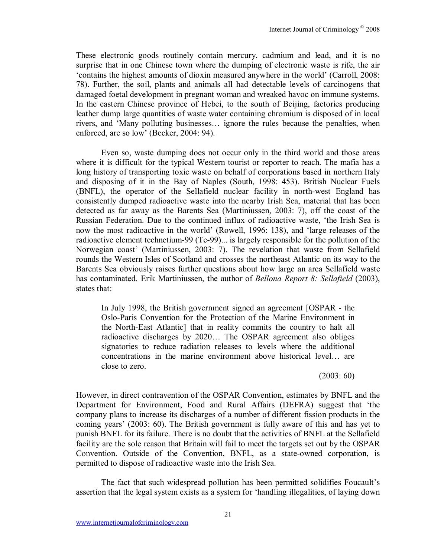These electronic goods routinely contain mercury, cadmium and lead, and it is no surprise that in one Chinese town where the dumping of electronic waste is rife, the air 'contains the highest amounts of dioxin measured anywhere in the world' (Carroll, 2008: 78). Further, the soil, plants and animals all had detectable levels of carcinogens that damaged foetal development in pregnant woman and wreaked havoc on immune systems. In the eastern Chinese province of Hebei, to the south of Beijing, factories producing leather dump large quantities of waste water containing chromium is disposed of in local rivers, and 'Many polluting businesses... ignore the rules because the penalties, when enforced, are so low' (Becker, 2004: 94).

 Even so, waste dumping does not occur only in the third world and those areas where it is difficult for the typical Western tourist or reporter to reach. The mafia has a long history of transporting toxic waste on behalf of corporations based in northern Italy and disposing of it in the Bay of Naples (South, 1998: 453). British Nuclear Fuels (BNFL), the operator of the Sellafield nuclear facility in north-west England has consistently dumped radioactive waste into the nearby Irish Sea, material that has been detected as far away as the Barents Sea (Martiniussen, 2003: 7), off the coast of the Russian Federation. Due to the continued influx of radioactive waste, ëthe Irish Sea is now the most radioactive in the world' (Rowell, 1996: 138), and 'large releases of the radioactive element technetium-99 (Tc-99)... is largely responsible for the pollution of the Norwegian coast' (Martiniussen, 2003: 7). The revelation that waste from Sellafield rounds the Western Isles of Scotland and crosses the northeast Atlantic on its way to the Barents Sea obviously raises further questions about how large an area Sellafield waste has contaminated. Erik Martiniussen, the author of *Bellona Report 8: Sellafield* (2003), states that:

In July 1998, the British government signed an agreement [OSPAR - the Oslo-Paris Convention for the Protection of the Marine Environment in the North-East Atlantic] that in reality commits the country to halt all radioactive discharges by 2020... The OSPAR agreement also obliges signatories to reduce radiation releases to levels where the additional concentrations in the marine environment above historical level... are close to zero.

(2003: 60)

However, in direct contravention of the OSPAR Convention, estimates by BNFL and the Department for Environment, Food and Rural Affairs (DEFRA) suggest that 'the company plans to increase its discharges of a number of different fission products in the coming years' (2003: 60). The British government is fully aware of this and has yet to punish BNFL for its failure. There is no doubt that the activities of BNFL at the Sellafield facility are the sole reason that Britain will fail to meet the targets set out by the OSPAR Convention. Outside of the Convention, BNFL, as a state-owned corporation, is permitted to dispose of radioactive waste into the Irish Sea.

The fact that such widespread pollution has been permitted solidifies Foucault's assertion that the legal system exists as a system for ëhandling illegalities, of laying down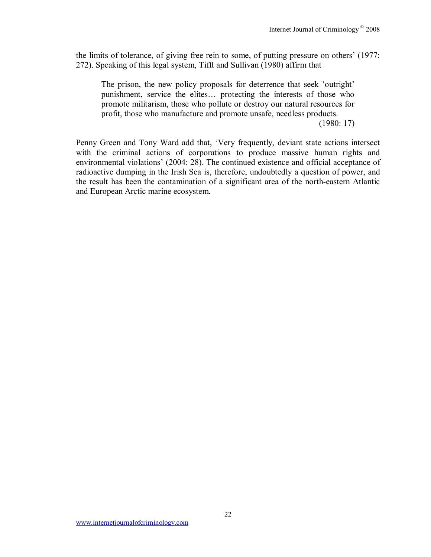the limits of tolerance, of giving free rein to some, of putting pressure on others' (1977: 272). Speaking of this legal system, Tifft and Sullivan (1980) affirm that

The prison, the new policy proposals for deterrence that seek 'outright' punishment, service the elites... protecting the interests of those who promote militarism, those who pollute or destroy our natural resources for profit, those who manufacture and promote unsafe, needless products. (1980: 17)

Penny Green and Tony Ward add that, 'Very frequently, deviant state actions intersect with the criminal actions of corporations to produce massive human rights and environmental violations' (2004: 28). The continued existence and official acceptance of radioactive dumping in the Irish Sea is, therefore, undoubtedly a question of power, and the result has been the contamination of a significant area of the north-eastern Atlantic and European Arctic marine ecosystem.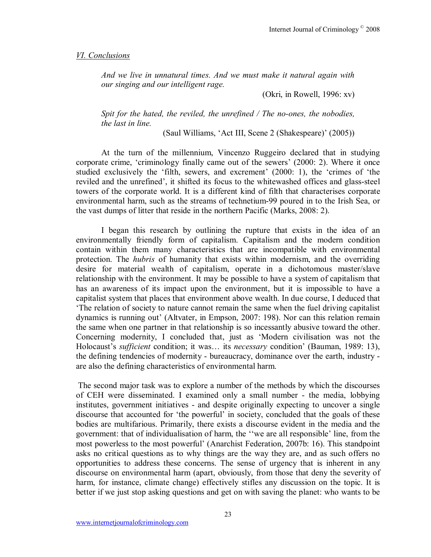#### *VI. Conclusions*

*And we live in unnatural times. And we must make it natural again with our singing and our intelligent rage.* 

(Okri, in Rowell, 1996: xv)

*Spit for the hated, the reviled, the unrefined / The no-ones, the nobodies, the last in line.* 

(Saul Williams, 'Act III, Scene 2 (Shakespeare)' (2005))

 At the turn of the millennium, Vincenzo Ruggeiro declared that in studying corporate crime, 'criminology finally came out of the sewers'  $(2000: 2)$ . Where it once studied exclusively the 'filth, sewers, and excrement'  $(2000: 1)$ , the 'crimes of 'the reviled and the unrefined', it shifted its focus to the whitewashed offices and glass-steel towers of the corporate world. It is a different kind of filth that characterises corporate environmental harm, such as the streams of technetium-99 poured in to the Irish Sea, or the vast dumps of litter that reside in the northern Pacific (Marks, 2008: 2).

 I began this research by outlining the rupture that exists in the idea of an environmentally friendly form of capitalism. Capitalism and the modern condition contain within them many characteristics that are incompatible with environmental protection. The *hubris* of humanity that exists within modernism, and the overriding desire for material wealth of capitalism, operate in a dichotomous master/slave relationship with the environment. It may be possible to have a system of capitalism that has an awareness of its impact upon the environment, but it is impossible to have a capitalist system that places that environment above wealth. In due course, I deduced that ëThe relation of society to nature cannot remain the same when the fuel driving capitalist dynamics is running out' (Altvater, in Empson, 2007: 198). Nor can this relation remain the same when one partner in that relationship is so incessantly abusive toward the other. Concerning modernity, I concluded that, just as 'Modern civilisation was not the Holocaust's *sufficient* condition; it was... its *necessary* condition' (Bauman, 1989: 13), the defining tendencies of modernity - bureaucracy, dominance over the earth, industry are also the defining characteristics of environmental harm.

 The second major task was to explore a number of the methods by which the discourses of CEH were disseminated. I examined only a small number - the media, lobbying institutes, government initiatives - and despite originally expecting to uncover a single discourse that accounted for 'the powerful' in society, concluded that the goals of these bodies are multifarious. Primarily, there exists a discourse evident in the media and the government: that of individualisation of harm, the "we are all responsible' line, from the most powerless to the most powerful' (Anarchist Federation, 2007b: 16). This standpoint asks no critical questions as to why things are the way they are, and as such offers no opportunities to address these concerns. The sense of urgency that is inherent in any discourse on environmental harm (apart, obviously, from those that deny the severity of harm, for instance, climate change) effectively stifles any discussion on the topic. It is better if we just stop asking questions and get on with saving the planet: who wants to be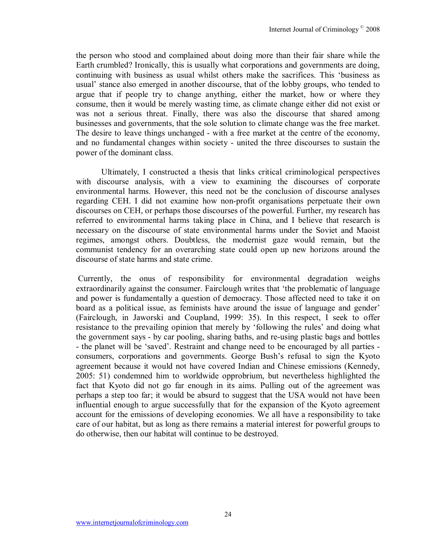the person who stood and complained about doing more than their fair share while the Earth crumbled? Ironically, this is usually what corporations and governments are doing, continuing with business as usual whilst others make the sacrifices. This ëbusiness as usual' stance also emerged in another discourse, that of the lobby groups, who tended to argue that if people try to change anything, either the market, how or where they consume, then it would be merely wasting time, as climate change either did not exist or was not a serious threat. Finally, there was also the discourse that shared among businesses and governments, that the sole solution to climate change was the free market. The desire to leave things unchanged - with a free market at the centre of the economy, and no fundamental changes within society - united the three discourses to sustain the power of the dominant class.

 Ultimately, I constructed a thesis that links critical criminological perspectives with discourse analysis, with a view to examining the discourses of corporate environmental harms. However, this need not be the conclusion of discourse analyses regarding CEH. I did not examine how non-profit organisations perpetuate their own discourses on CEH, or perhaps those discourses of the powerful. Further, my research has referred to environmental harms taking place in China, and I believe that research is necessary on the discourse of state environmental harms under the Soviet and Maoist regimes, amongst others. Doubtless, the modernist gaze would remain, but the communist tendency for an overarching state could open up new horizons around the discourse of state harms and state crime.

 Currently, the onus of responsibility for environmental degradation weighs extraordinarily against the consumer. Fairclough writes that 'the problematic of language and power is fundamentally a question of democracy. Those affected need to take it on board as a political issue, as feminists have around the issue of language and gender (Fairclough, in Jaworski and Coupland, 1999: 35). In this respect, I seek to offer resistance to the prevailing opinion that merely by 'following the rules' and doing what the government says - by car pooling, sharing baths, and re-using plastic bags and bottles - the planet will be 'saved'. Restraint and change need to be encouraged by all parties consumers, corporations and governments. George Bush's refusal to sign the Kyoto agreement because it would not have covered Indian and Chinese emissions (Kennedy, 2005: 51) condemned him to worldwide opprobrium, but nevertheless highlighted the fact that Kyoto did not go far enough in its aims. Pulling out of the agreement was perhaps a step too far; it would be absurd to suggest that the USA would not have been influential enough to argue successfully that for the expansion of the Kyoto agreement account for the emissions of developing economies. We all have a responsibility to take care of our habitat, but as long as there remains a material interest for powerful groups to do otherwise, then our habitat will continue to be destroyed.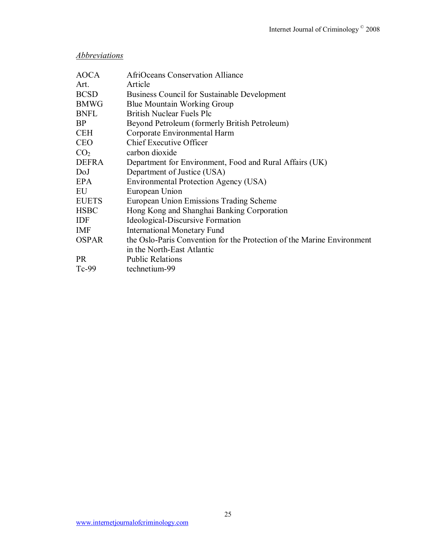# *Abbreviations*

| <b>AOCA</b>     | <b>AfriOceans Conservation Alliance</b>                                |
|-----------------|------------------------------------------------------------------------|
| Art.            | Article                                                                |
| <b>BCSD</b>     | <b>Business Council for Sustainable Development</b>                    |
| <b>BMWG</b>     | <b>Blue Mountain Working Group</b>                                     |
| <b>BNFL</b>     | <b>British Nuclear Fuels Plc</b>                                       |
| BP              | Beyond Petroleum (formerly British Petroleum)                          |
| <b>CEH</b>      | Corporate Environmental Harm                                           |
| <b>CEO</b>      | Chief Executive Officer                                                |
| CO <sub>2</sub> | carbon dioxide                                                         |
| <b>DEFRA</b>    | Department for Environment, Food and Rural Affairs (UK)                |
| DoJ             | Department of Justice (USA)                                            |
| EPA             | Environmental Protection Agency (USA)                                  |
| EU              | European Union                                                         |
| <b>EUETS</b>    | European Union Emissions Trading Scheme                                |
| <b>HSBC</b>     | Hong Kong and Shanghai Banking Corporation                             |
| IDF             | Ideological-Discursive Formation                                       |
| IMF             | <b>International Monetary Fund</b>                                     |
| <b>OSPAR</b>    | the Oslo-Paris Convention for the Protection of the Marine Environment |
|                 | in the North-East Atlantic                                             |
| PR.             | <b>Public Relations</b>                                                |
| Tc-99           | technetium-99                                                          |
|                 |                                                                        |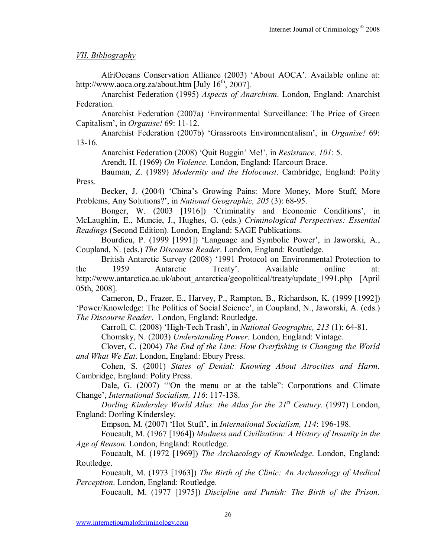# *VII. Bibliography*

AfriOceans Conservation Alliance (2003) 'About AOCA'. Available online at: http://www.aoca.org.za/about.htm [July  $16<sup>th</sup>$ , 2007].

 Anarchist Federation (1995) *Aspects of Anarchism*. London, England: Anarchist Federation.

 Anarchist Federation (2007a) ëEnvironmental Surveillance: The Price of Green Capitalismí, in *Organise!* 69: 11-12.

Anarchist Federation (2007b) 'Grassroots Environmentalism', in *Organise!* 69: 13-16.

Anarchist Federation (2008) 'Quit Buggin' Me!', in *Resistance, 101*: 5.

Arendt, H. (1969) *On Violence*. London, England: Harcourt Brace.

 Bauman, Z. (1989) *Modernity and the Holocaust*. Cambridge, England: Polity Press.

Becker, J. (2004) 'China's Growing Pains: More Money, More Stuff, More Problems, Any Solutions?', in *National Geographic, 205* (3): 68-95.

Bonger, W. (2003 [1916]) 'Criminality and Economic Conditions', in McLaughlin, E., Muncie, J., Hughes, G. (eds.) *Criminological Perspectives: Essential Readings* (Second Edition). London, England: SAGE Publications.

Bourdieu, P. (1999 [1991]) 'Language and Symbolic Power', in Jaworski, A., Coupland, N. (eds.) *The Discourse Reader*. London, England: Routledge.

British Antarctic Survey (2008) ë1991 Protocol on Environmental Protection to the 1959 Antarctic Treaty'. Available online at: http://www.antarctica.ac.uk/about\_antarctica/geopolitical/treaty/update\_1991.php [April] 05th, 2008].

 Cameron, D., Frazer, E., Harvey, P., Rampton, B., Richardson, K. (1999 [1992]) ëPower/Knowledge: The Politics of Social Scienceí, in Coupland, N., Jaworski, A. (eds.) *The Discourse Reader*. London, England: Routledge.

Carroll, C. (2008) 'High-Tech Trash', in *National Geographic, 213* (1): 64-81.

Chomsky, N. (2003) *Understanding Power*. London, England: Vintage.

 Clover, C. (2004) *The End of the Line: How Overfishing is Changing the World and What We Eat*. London, England: Ebury Press.

 Cohen, S. (2001) *States of Denial: Knowing About Atrocities and Harm*. Cambridge, England: Polity Press.

Dale, G. (2007) "On the menu or at the table": Corporations and Climate Changeí, *International Socialism, 116*: 117-138.

 *Dorling Kindersley World Atlas: the Atlas for the 21st Century*. (1997) London, England: Dorling Kindersley.

Empson, M. (2007) 'Hot Stuff', in *International Socialism, 114*: 196-198.

 Foucault, M. (1967 [1964]) *Madness and Civilization: A History of Insanity in the Age of Reason*. London, England: Routledge.

 Foucault, M. (1972 [1969]) *The Archaeology of Knowledge*. London, England: Routledge.

 Foucault, M. (1973 [1963]) *The Birth of the Clinic: An Archaeology of Medical Perception*. London, England: Routledge.

Foucault, M. (1977 [1975]) *Discipline and Punish: The Birth of the Prison*.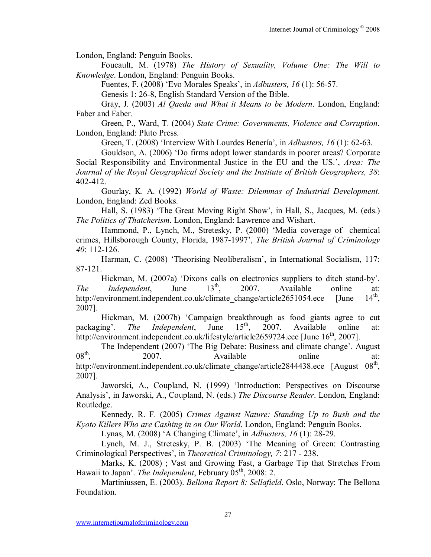London, England: Penguin Books.

 Foucault, M. (1978) *The History of Sexuality, Volume One: The Will to Knowledge*. London, England: Penguin Books.

Fuentes, F. (2008) 'Evo Morales Speaks', in *Adbusters*, 16 (1): 56-57.

Genesis 1: 26-8, English Standard Version of the Bible.

 Gray, J. (2003) *Al Qaeda and What it Means to be Modern*. London, England: Faber and Faber.

 Green, P., Ward, T. (2004) *State Crime: Governments, Violence and Corruption*. London, England: Pluto Press.

Green, T. (2008) 'Interview With Lourdes Benería', in *Adbusters*, 16(1): 62-63.

 Gouldson, A. (2006) ëDo firms adopt lower standards in poorer areas? Corporate Social Responsibility and Environmental Justice in the EU and the US.', *Area: The Journal of the Royal Geographical Society and the Institute of British Geographers, 38*: 402-412.

 Gourlay, K. A. (1992) *World of Waste: Dilemmas of Industrial Development*. London, England: Zed Books.

Hall, S. (1983) 'The Great Moving Right Show', in Hall, S., Jacques, M. (eds.) *The Politics of Thatcherism*. London, England: Lawrence and Wishart.

Hammond, P., Lynch, M., Stretesky, P. (2000) 'Media coverage of chemical crimes, Hillsborough County, Florida, 1987-1997', *The British Journal of Criminology 40*: 112-126.

Harman, C. (2008) 'Theorising Neoliberalism', in International Socialism, 117: 87-121.

Hickman, M. (2007a) 'Dixons calls on electronics suppliers to ditch stand-by'.<br> *Independent*. June  $13<sup>th</sup>$  2007. Available online at: *The Independent*, June  $13^{\text{th}}$ , 2007. Available online at:<br>http://environment.independent.co.uk/climate change/article2651054.ece [June  $14^{\text{th}}$ ] http://environment.independent.co.uk/climate\_change/article2651054.ece [June 2007].

Hickman, M. (2007b) 'Campaign breakthrough as food giants agree to cut ing'. The Independent, June  $15<sup>th</sup>$ , 2007. Available online at: packaging'. *The Independent*, June 15<sup>th</sup>, 2007. Available online at: http://environment.independent.co.uk/lifestyle/article2659724.ece [June  $16<sup>th</sup>$ , 2007].

The Independent (2007) 'The Big Debate: Business and climate change'. August 08<sup>th</sup>, 2007. Available at:  $08<sup>th</sup>$ , 2007. Available online at: http://environment.independent.co.uk/climate change/article2844438.ece [August 08<sup>th</sup>, 2007].

Jaworski, A., Coupland, N. (1999) 'Introduction: Perspectives on Discourse Analysis', in Jaworski, A., Coupland, N. (eds.) *The Discourse Reader*. London, England: Routledge.

 Kennedy, R. F. (2005) *Crimes Against Nature: Standing Up to Bush and the Kyoto Killers Who are Cashing in on Our World*. London, England: Penguin Books.

Lynas, M. (2008) 'A Changing Climate', in *Adbusters*, 16(1): 28-29.

Lynch, M. J., Stretesky, P. B. (2003) 'The Meaning of Green: Contrasting Criminological Perspectivesí, in *Theoretical Criminology, 7*: 217 - 238.

 Marks, K. (2008) ; Vast and Growing Fast, a Garbage Tip that Stretches From Hawaii to Japan'. *The Independent*, February 05<sup>th</sup>, 2008: 2.

 Martiniussen, E. (2003). *Bellona Report 8: Sellafield*. Oslo, Norway: The Bellona Foundation.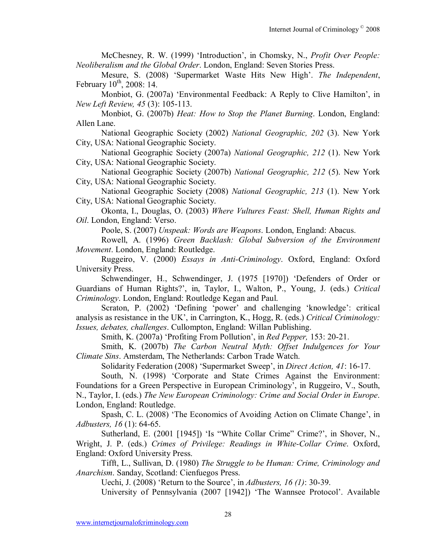McChesney, R. W. (1999) 'Introduction', in Chomsky, N., *Profit Over People: Neoliberalism and the Global Order*. London, England: Seven Stories Press.

Mesure, S. (2008) 'Supermarket Waste Hits New High'. *The Independent*, February  $10^{th}$ ,  $2008:14$ .

Monbiot, G. (2007a) 'Environmental Feedback: A Reply to Clive Hamilton', in *New Left Review, 45* (3): 105-113.

 Monbiot, G. (2007b) *Heat: How to Stop the Planet Burning*. London, England: Allen Lane.

 National Geographic Society (2002) *National Geographic, 202* (3). New York City, USA: National Geographic Society.

 National Geographic Society (2007a) *National Geographic, 212* (1). New York City, USA: National Geographic Society.

 National Geographic Society (2007b) *National Geographic, 212* (5). New York City, USA: National Geographic Society.

 National Geographic Society (2008) *National Geographic, 213* (1). New York City, USA: National Geographic Society.

 Okonta, I., Douglas, O. (2003) *Where Vultures Feast: Shell, Human Rights and Oil*. London, England: Verso.

Poole, S. (2007) *Unspeak: Words are Weapons*. London, England: Abacus.

 Rowell, A. (1996) *Green Backlash: Global Subversion of the Environment Movement*. London, England: Routledge.

 Ruggeiro, V. (2000) *Essays in Anti-Criminology*. Oxford, England: Oxford University Press.

Schwendinger, H., Schwendinger, J. (1975 [1970]) 'Defenders of Order or Guardians of Human Rights?', in, Taylor, I., Walton, P., Young, J. (eds.) *Critical Criminology*. London, England: Routledge Kegan and Paul.

Scraton, P. (2002) 'Defining 'power' and challenging 'knowledge': critical analysis as resistance in the UK', in Carrington, K., Hogg, R. (eds.) *Critical Criminology*: *Issues, debates, challenges*. Cullompton, England: Willan Publishing.

Smith, K. (2007a) 'Profiting From Pollution', in *Red Pepper*, 153: 20-21.

 Smith, K. (2007b) *The Carbon Neutral Myth: Offset Indulgences for Your Climate Sins*. Amsterdam, The Netherlands: Carbon Trade Watch.

Solidarity Federation (2008) 'Supermarket Sweep', in *Direct Action, 41*: 16-17.

South, N. (1998) 'Corporate and State Crimes Against the Environment: Foundations for a Green Perspective in European Criminology', in Ruggeiro, V., South, N., Taylor, I. (eds.) *The New European Criminology: Crime and Social Order in Europe*. London, England: Routledge.

Spash, C. L. (2008) 'The Economics of Avoiding Action on Climate Change', in *Adbusters, 16* (1): 64-65.

Sutherland, E. (2001 [1945]) 'Is "White Collar Crime" Crime?', in Shover, N., Wright, J. P. (eds.) *Crimes of Privilege: Readings in White-Collar Crime*. Oxford, England: Oxford University Press.

 Tifft, L., Sullivan, D. (1980) *The Struggle to be Human: Crime, Criminology and Anarchism*. Sanday, Scotland: Cienfuegos Press.

Uechi, J. (2008) 'Return to the Source', in *Adbusters, 16 (1)*: 30-39.

University of Pennsylvania (2007 [1942]) 'The Wannsee Protocol'. Available